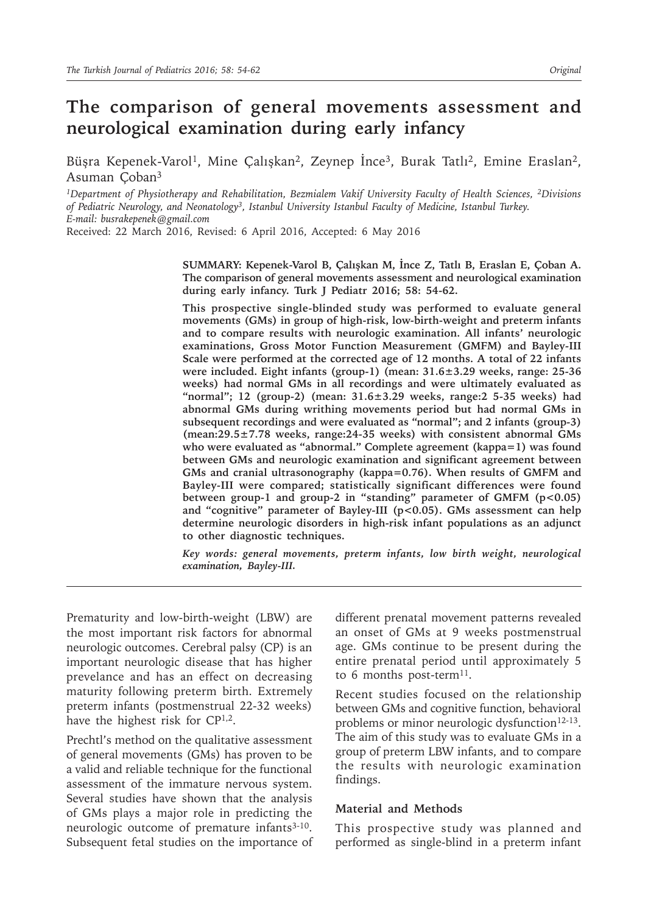# **The comparison of general movements assessment and neurological examination during early infancy**

Büşra Kepenek-Varol<sup>1</sup>, Mine Çalışkan<sup>2</sup>, Zeynep İnce<sup>3</sup>, Burak Tatlı<sup>2</sup>, Emine Eraslan<sup>2</sup>, Asuman Çoban<sup>3</sup>

*1Department of Physiotherapy and Rehabilitation, Bezmialem Vakif University Faculty of Health Sciences, 2Divisions of Pediatric Neurology, and Neonatology3, Istanbul University Istanbul Faculty of Medicine, Istanbul Turkey. E-mail: busrakepenek@gmail.com*

Received: 22 March 2016, Revised: 6 April 2016, Accepted: 6 May 2016

**SUMMARY: Kepenek-Varol B, Çalışkan M, İnce Z, Tatlı B, Eraslan E, Çoban A. The comparison of general movements assessment and neurological examination during early infancy. Turk J Pediatr 2016; 58: 54-62.**

**This prospective single-blinded study was performed to evaluate general movements (GMs) in group of high-risk, low-birth-weight and preterm infants and to compare results with neurologic examination. All infants' neurologic examinations, Gross Motor Function Measurement (GMFM) and Bayley-III Scale were performed at the corrected age of 12 months. A total of 22 infants were included. Eight infants (group-1) (mean: 31.6±3.29 weeks, range: 25-36 weeks) had normal GMs in all recordings and were ultimately evaluated as "normal"; 12 (group-2) (mean: 31.6±3.29 weeks, range:2 5-35 weeks) had abnormal GMs during writhing movements period but had normal GMs in subsequent recordings and were evaluated as "normal"; and 2 infants (group-3) (mean:29.5±7.78 weeks, range:24-35 weeks) with consistent abnormal GMs who were evaluated as "abnormal." Complete agreement (kappa=1) was found between GMs and neurologic examination and significant agreement between GMs and cranial ultrasonography (kappa=0.76). When results of GMFM and Bayley-III were compared; statistically significant differences were found**  between group-1 and group-2 in "standing" parameter of GMFM (p<0.05) **and "cognitive" parameter of Bayley-III (p<0.05). GMs assessment can help determine neurologic disorders in high-risk infant populations as an adjunct to other diagnostic techniques.**

*Key words: general movements, preterm infants, low birth weight, neurological examination, Bayley-III.*

Prematurity and low-birth-weight (LBW) are the most important risk factors for abnormal neurologic outcomes. Cerebral palsy (CP) is an important neurologic disease that has higher prevelance and has an effect on decreasing maturity following preterm birth. Extremely preterm infants (postmenstrual 22-32 weeks) have the highest risk for  $\mathbb{C}P^{1,2}$ .

Prechtl's method on the qualitative assessment of general movements (GMs) has proven to be a valid and reliable technique for the functional assessment of the immature nervous system. Several studies have shown that the analysis of GMs plays a major role in predicting the neurologic outcome of premature infants<sup>3-10</sup>. Subsequent fetal studies on the importance of different prenatal movement patterns revealed an onset of GMs at 9 weeks postmenstrual age. GMs continue to be present during the entire prenatal period until approximately 5 to 6 months post-term<sup>11</sup>.

Recent studies focused on the relationship between GMs and cognitive function, behavioral problems or minor neurologic dysfunction<sup>12-13</sup>. The aim of this study was to evaluate GMs in a group of preterm LBW infants, and to compare the results with neurologic examination findings.

#### **Material and Methods**

This prospective study was planned and performed as single-blind in a preterm infant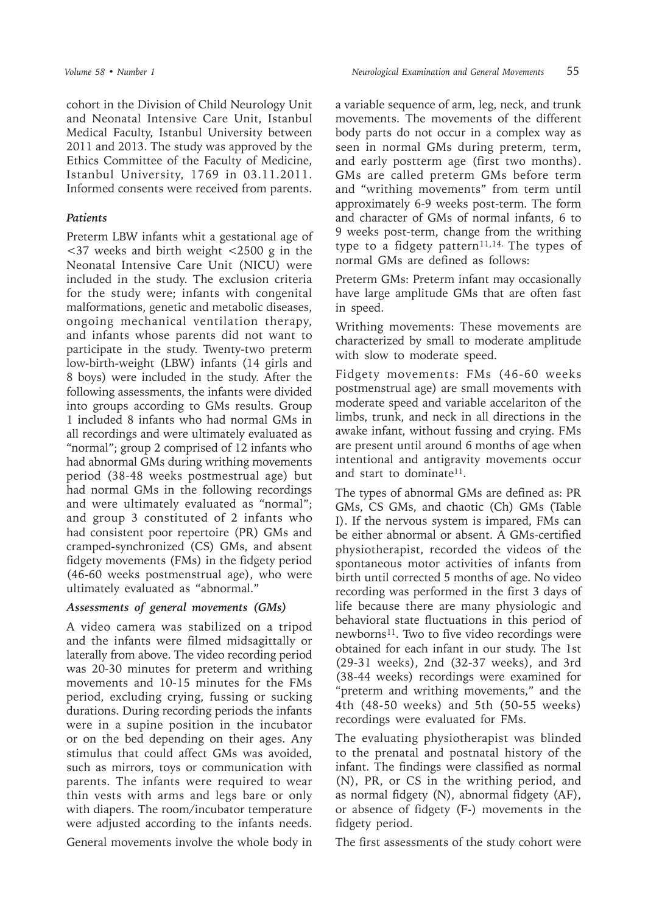cohort in the Division of Child Neurology Unit and Neonatal Intensive Care Unit, Istanbul Medical Faculty, Istanbul University between 2011 and 2013. The study was approved by the Ethics Committee of the Faculty of Medicine, Istanbul University, 1769 in 03.11.2011. Informed consents were received from parents.

## *Patients*

Preterm LBW infants whit a gestational age of <37 weeks and birth weight <2500 g in the Neonatal Intensive Care Unit (NICU) were included in the study. The exclusion criteria for the study were; infants with congenital malformations, genetic and metabolic diseases, ongoing mechanical ventilation therapy, and infants whose parents did not want to participate in the study. Twenty-two preterm low-birth-weight (LBW) infants (14 girls and 8 boys) were included in the study. After the following assessments, the infants were divided into groups according to GMs results. Group 1 included 8 infants who had normal GMs in all recordings and were ultimately evaluated as "normal"; group 2 comprised of 12 infants who had abnormal GMs during writhing movements period (38-48 weeks postmestrual age) but had normal GMs in the following recordings and were ultimately evaluated as "normal"; and group 3 constituted of 2 infants who had consistent poor repertoire (PR) GMs and cramped-synchronized (CS) GMs, and absent fidgety movements (FMs) in the fidgety period (46-60 weeks postmenstrual age), who were ultimately evaluated as "abnormal."

# *Assessments of general movements (GMs)*

A video camera was stabilized on a tripod and the infants were filmed midsagittally or laterally from above. The video recording period was 20-30 minutes for preterm and writhing movements and 10-15 minutes for the FMs period, excluding crying, fussing or sucking durations. During recording periods the infants were in a supine position in the incubator or on the bed depending on their ages. Any stimulus that could affect GMs was avoided, such as mirrors, toys or communication with parents. The infants were required to wear thin vests with arms and legs bare or only with diapers. The room/incubator temperature were adjusted according to the infants needs.

General movements involve the whole body in

a variable sequence of arm, leg, neck, and trunk movements. The movements of the different body parts do not occur in a complex way as seen in normal GMs during preterm, term, and early postterm age (first two months). GMs are called preterm GMs before term and "writhing movements" from term until approximately 6-9 weeks post-term. The form and character of GMs of normal infants, 6 to 9 weeks post-term, change from the writhing type to a fidgety pattern<sup>11,14.</sup> The types of normal GMs are defined as follows:

Preterm GMs: Preterm infant may occasionally have large amplitude GMs that are often fast in speed.

Writhing movements: These movements are characterized by small to moderate amplitude with slow to moderate speed.

Fidgety movements: FMs (46-60 weeks postmenstrual age) are small movements with moderate speed and variable accelariton of the limbs, trunk, and neck in all directions in the awake infant, without fussing and crying. FMs are present until around 6 months of age when intentional and antigravity movements occur and start to dominate<sup>11</sup>.

The types of abnormal GMs are defined as: PR GMs, CS GMs, and chaotic (Ch) GMs (Table I). If the nervous system is impared, FMs can be either abnormal or absent. A GMs-certified physiotherapist, recorded the videos of the spontaneous motor activities of infants from birth until corrected 5 months of age. No video recording was performed in the first 3 days of life because there are many physiologic and behavioral state fluctuations in this period of newborns<sup>11</sup>. Two to five video recordings were obtained for each infant in our study. The 1st (29-31 weeks), 2nd (32-37 weeks), and 3rd (38-44 weeks) recordings were examined for "preterm and writhing movements," and the 4th (48-50 weeks) and 5th (50-55 weeks) recordings were evaluated for FMs.

The evaluating physiotherapist was blinded to the prenatal and postnatal history of the infant. The findings were classified as normal (N), PR, or CS in the writhing period, and as normal fidgety (N), abnormal fidgety (AF), or absence of fidgety (F-) movements in the fidgety period.

The first assessments of the study cohort were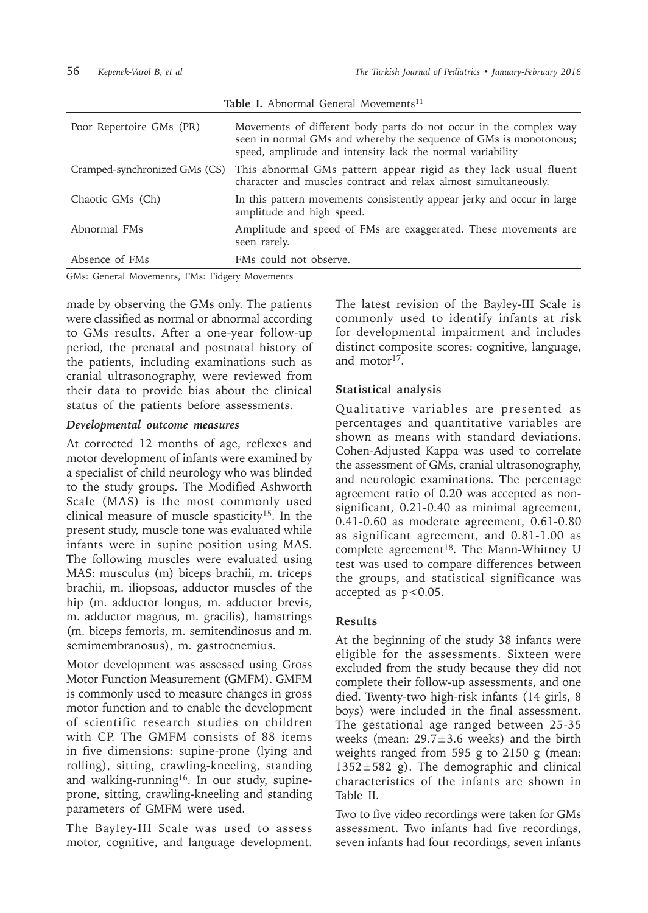| Table I. Abnormal General Movements <sup>11</sup> |                                                                                                                                                                                                      |  |  |  |  |  |
|---------------------------------------------------|------------------------------------------------------------------------------------------------------------------------------------------------------------------------------------------------------|--|--|--|--|--|
| Poor Repertoire GMs (PR)                          | Movements of different body parts do not occur in the complex way<br>seen in normal GMs and whereby the sequence of GMs is monotonous;<br>speed, amplitude and intensity lack the normal variability |  |  |  |  |  |
| Cramped-synchronized GMs (CS)                     | This abnormal GMs pattern appear rigid as they lack usual fluent<br>character and muscles contract and relax almost simultaneously.                                                                  |  |  |  |  |  |
| Chaotic GMs (Ch)                                  | In this pattern movements consistently appear jerky and occur in large<br>amplitude and high speed.                                                                                                  |  |  |  |  |  |
| Abnormal FMs                                      | Amplitude and speed of FMs are exaggerated. These movements are<br>seen rarely.                                                                                                                      |  |  |  |  |  |
| Absence of FMs                                    | FMs could not observe.                                                                                                                                                                               |  |  |  |  |  |

GMs: General Movements, FMs: Fidgety Movements

made by observing the GMs only. The patients were classified as normal or abnormal according to GMs results. After a one-year follow-up period, the prenatal and postnatal history of the patients, including examinations such as cranial ultrasonography, were reviewed from their data to provide bias about the clinical status of the patients before assessments.

### *Developmental outcome measures*

At corrected 12 months of age, reflexes and motor development of infants were examined by a specialist of child neurology who was blinded to the study groups. The Modified Ashworth Scale (MAS) is the most commonly used clinical measure of muscle spasticity<sup>15</sup>. In the present study, muscle tone was evaluated while infants were in supine position using MAS. The following muscles were evaluated using MAS: musculus (m) biceps brachii, m. triceps brachii, m. iliopsoas, adductor muscles of the hip (m. adductor longus, m. adductor brevis, m. adductor magnus, m. gracilis), hamstrings (m. biceps femoris, m. semitendinosus and m. semimembranosus), m. gastrocnemius.

Motor development was assessed using Gross Motor Function Measurement (GMFM). GMFM is commonly used to measure changes in gross motor function and to enable the development of scientific research studies on children with CP. The GMFM consists of 88 items in five dimensions: supine-prone (lying and rolling), sitting, crawling-kneeling, standing and walking-running<sup>16</sup>. In our study, supineprone, sitting, crawling-kneeling and standing parameters of GMFM were used.

The Bayley-III Scale was used to assess motor, cognitive, and language development.

The latest revision of the Bayley-III Scale is commonly used to identify infants at risk for developmental impairment and includes distinct composite scores: cognitive, language, and motor<sup>17</sup>

## **Statistical analysis**

Qualitative variables are presented as percentages and quantitative variables are shown as means with standard deviations. Cohen-Adjusted Kappa was used to correlate the assessment of GMs, cranial ultrasonography, and neurologic examinations. The percentage agreement ratio of 0.20 was accepted as nonsignificant, 0.21-0.40 as minimal agreement, 0.41-0.60 as moderate agreement, 0.61-0.80 as significant agreement, and 0.81-1.00 as complete agreement<sup>18</sup>. The Mann-Whitney U test was used to compare differences between the groups, and statistical significance was accepted as  $p<0.05$ .

# **Results**

At the beginning of the study 38 infants were eligible for the assessments. Sixteen were excluded from the study because they did not complete their follow-up assessments, and one died. Twenty-two high-risk infants (14 girls, 8 boys) were included in the final assessment. The gestational age ranged between 25-35 weeks (mean: 29.7±3.6 weeks) and the birth weights ranged from 595 g to 2150 g (mean:  $1352 \pm 582$  g). The demographic and clinical characteristics of the infants are shown in Table II.

Two to five video recordings were taken for GMs assessment. Two infants had five recordings, seven infants had four recordings, seven infants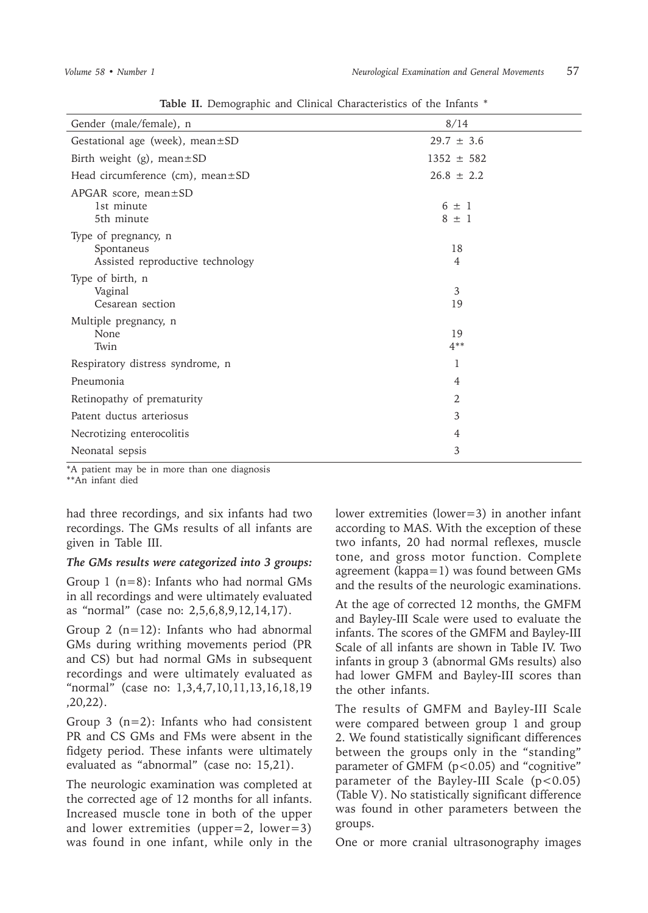| 8/14                   |
|------------------------|
| $29.7 \pm 3.6$         |
| $1352 \pm 582$         |
| $26.8 \pm 2.2$         |
| $6 \pm 1$<br>$8 \pm 1$ |
| 18<br>4                |
| 3<br>19                |
| 19<br>$4**$            |
| 1                      |
| $\overline{4}$         |
| 2                      |
| 3                      |
| 4                      |
| 3                      |
|                        |

**Table II.** Demographic and Clinical Characteristics of the Infants \*

\*A patient may be in more than one diagnosis

\*\*An infant died

had three recordings, and six infants had two recordings. The GMs results of all infants are given in Table III.

#### *The GMs results were categorized into 3 groups:*

Group 1 (n=8): Infants who had normal GMs in all recordings and were ultimately evaluated as "normal" (case no: 2,5,6,8,9,12,14,17).

Group 2  $(n=12)$ : Infants who had abnormal GMs during writhing movements period (PR and CS) but had normal GMs in subsequent recordings and were ultimately evaluated as "normal" (case no: 1,3,4,7,10,11,13,16,18,19 ,20,22).

Group 3  $(n=2)$ : Infants who had consistent PR and CS GMs and FMs were absent in the fidgety period. These infants were ultimately evaluated as "abnormal" (case no: 15,21).

The neurologic examination was completed at the corrected age of 12 months for all infants. Increased muscle tone in both of the upper and lower extremities (upper=2, lower=3) was found in one infant, while only in the lower extremities (lower=3) in another infant according to MAS. With the exception of these two infants, 20 had normal reflexes, muscle tone, and gross motor function. Complete agreement (kappa=1) was found between GMs and the results of the neurologic examinations.

At the age of corrected 12 months, the GMFM and Bayley-III Scale were used to evaluate the infants. The scores of the GMFM and Bayley-III Scale of all infants are shown in Table IV. Two infants in group 3 (abnormal GMs results) also had lower GMFM and Bayley-III scores than the other infants.

The results of GMFM and Bayley-III Scale were compared between group 1 and group 2. We found statistically significant differences between the groups only in the "standing" parameter of GMFM ( $p$ <0.05) and "cognitive" parameter of the Bayley-III Scale  $(p<0.05)$ (Table V). No statistically significant difference was found in other parameters between the groups.

One or more cranial ultrasonography images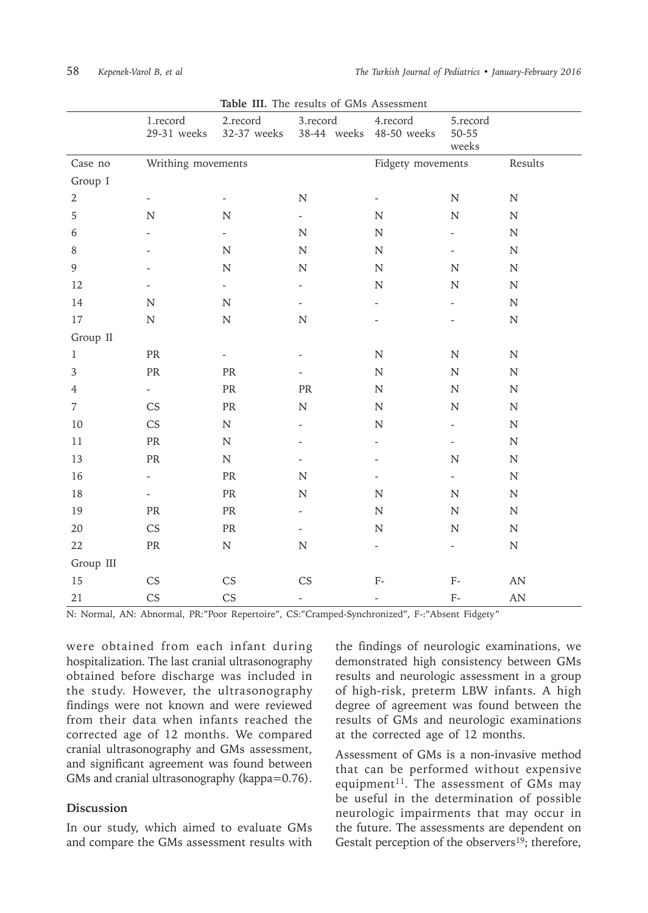|                | 1.record<br>29-31 weeks  | 2.record<br>32-37 weeks           | 3.record<br>38-44 weeks 48-50 weeks | 4.record                 | 5.record<br>50-55<br>weeks |                        |
|----------------|--------------------------|-----------------------------------|-------------------------------------|--------------------------|----------------------------|------------------------|
| Case no        | Writhing movements       |                                   |                                     | Fidgety movements        |                            | Results                |
| Group I        |                          |                                   |                                     |                          |                            |                        |
| $\mathbf{2}$   |                          |                                   | ${\bf N}$                           | $\overline{\phantom{a}}$ | ${\bf N}$                  | ${\bf N}$              |
| 5              | ${\bf N}$                | ${\bf N}$                         | $\overline{\phantom{a}}$            | ${\bf N}$                | $\mathbf N$                | ${\bf N}$              |
| 6              |                          |                                   | ${\bf N}$                           | ${\bf N}$                |                            | ${\bf N}$              |
| $\, 8$         |                          | ${\bf N}$                         | ${\bf N}$                           | ${\bf N}$                | $\overline{\phantom{a}}$   | ${\bf N}$              |
| $\overline{9}$ |                          | ${\bf N}$                         | ${\bf N}$                           | ${\bf N}$                | ${\bf N}$                  | ${\bf N}$              |
| 12             |                          | $\overline{\phantom{a}}$          |                                     | ${\bf N}$                | ${\bf N}$                  | ${\bf N}$              |
| 14             | ${\bf N}$                | ${\bf N}$                         |                                     |                          |                            | ${\bf N}$              |
| 17             | ${\bf N}$                | ${\bf N}$                         | ${\bf N}$                           |                          |                            | ${\bf N}$              |
| Group II       |                          |                                   |                                     |                          |                            |                        |
| $\mathbf{1}$   | PR                       |                                   |                                     | $\mathbf N$              | $\mathbf N$                | N                      |
| $\overline{3}$ | PR                       | ${\rm PR}$                        |                                     | ${\bf N}$                | ${\bf N}$                  | ${\bf N}$              |
| $\overline{4}$ | $\omega_{\rm{eff}}$      | $\ensuremath{\mathsf{PR}}\xspace$ | ${\sf PR}$                          | ${\bf N}$                | ${\bf N}$                  | ${\bf N}$              |
| 7              | CS                       | PR                                | $\mathbf N$                         | ${\bf N}$                | $\mathbf N$                | N                      |
| 10             | CS                       | ${\bf N}$                         | $\overline{a}$                      | ${\bf N}$                | $\blacksquare$             | ${\bf N}$              |
| $11\,$         | ${\sf PR}$               | ${\bf N}$                         |                                     |                          | $\overline{\phantom{a}}$   | ${\bf N}$              |
| 13             | PR                       | ${\bf N}$                         |                                     |                          | $\mathbf N$                | ${\bf N}$              |
| 16             | $\overline{\phantom{0}}$ | $\ensuremath{\mathsf{PR}}\xspace$ | ${\bf N}$                           |                          | $\overline{\phantom{a}}$   | ${\bf N}$              |
| $18\,$         | $\overline{\phantom{0}}$ | $\ensuremath{\mathsf{PR}}\xspace$ | ${\bf N}$                           | ${\bf N}$                | ${\bf N}$                  | ${\bf N}$              |
| 19             | PR                       | PR                                | $\overline{a}$                      | ${\bf N}$                | $\mathbf N$                | ${\bf N}$              |
| $20\,$         | $\mathbb{C}\mathsf{S}$   | $\ensuremath{\mathsf{PR}}\xspace$ | $\overline{\phantom{a}}$            | ${\bf N}$                | ${\bf N}$                  | ${\bf N}$              |
| 22             | ${\rm PR}$               | ${\bf N}$                         | ${\bf N}$                           | $\overline{\phantom{a}}$ | $\overline{\phantom{a}}$   | ${\bf N}$              |
| Group III      |                          |                                   |                                     |                          |                            |                        |
| 15             | CS                       | CS                                | CS                                  | $F-$                     | ${\rm F}$ -                | AN                     |
| 21             | <b>CS</b>                | CS                                | $\overline{\phantom{0}}$            |                          | ${\rm F}$ -                | $\mathbf{A}\mathbf{N}$ |

**Table III.** The results of GMs Assessment

N: Normal, AN: Abnormal, PR:"Poor Repertoire", CS:"Cramped-Synchronized", F-:"Absent Fidgety"

were obtained from each infant during hospitalization. The last cranial ultrasonography obtained before discharge was included in the study. However, the ultrasonography findings were not known and were reviewed from their data when infants reached the corrected age of 12 months. We compared cranial ultrasonography and GMs assessment, and significant agreement was found between GMs and cranial ultrasonography (kappa=0.76).

### **Discussion**

In our study, which aimed to evaluate GMs and compare the GMs assessment results with

the findings of neurologic examinations, we demonstrated high consistency between GMs results and neurologic assessment in a group of high-risk, preterm LBW infants. A high degree of agreement was found between the results of GMs and neurologic examinations at the corrected age of 12 months.

Assessment of GMs is a non-invasive method that can be performed without expensive equipment<sup>11</sup>. The assessment of GMs may be useful in the determination of possible neurologic impairments that may occur in the future. The assessments are dependent on Gestalt perception of the observers<sup>19</sup>; therefore,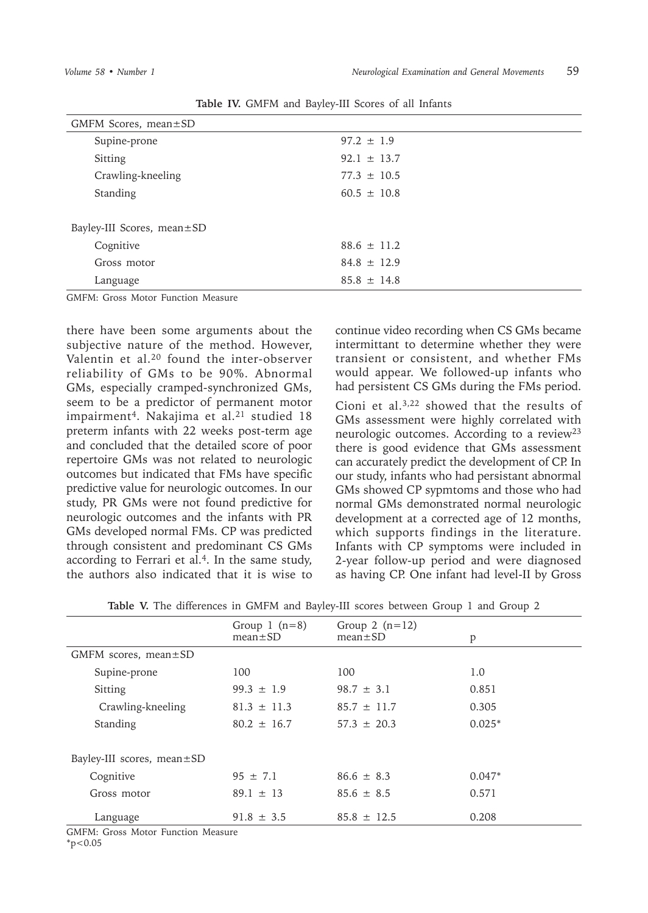| GMFM Scores, mean $\pm$ SD |                 |  |  |  |  |
|----------------------------|-----------------|--|--|--|--|
| Supine-prone               | $97.2 \pm 1.9$  |  |  |  |  |
| Sitting                    | $92.1 \pm 13.7$ |  |  |  |  |
| Crawling-kneeling          | $77.3 \pm 10.5$ |  |  |  |  |
| Standing                   | $60.5 \pm 10.8$ |  |  |  |  |
|                            |                 |  |  |  |  |
| Bayley-III Scores, mean±SD |                 |  |  |  |  |
| Cognitive                  | $88.6 \pm 11.2$ |  |  |  |  |
| Gross motor                | $84.8 \pm 12.9$ |  |  |  |  |
| Language                   | $85.8 \pm 14.8$ |  |  |  |  |
|                            |                 |  |  |  |  |

**Table IV.** GMFM and Bayley-III Scores of all Infants

GMFM: Gross Motor Function Measure

there have been some arguments about the subjective nature of the method. However, Valentin et al.<sup>20</sup> found the inter-observer reliability of GMs to be 90%. Abnormal GMs, especially cramped-synchronized GMs, seem to be a predictor of permanent motor impairment<sup>4</sup>. Nakajima et al.<sup>21</sup> studied 18 preterm infants with 22 weeks post-term age and concluded that the detailed score of poor repertoire GMs was not related to neurologic outcomes but indicated that FMs have specific predictive value for neurologic outcomes. In our study, PR GMs were not found predictive for neurologic outcomes and the infants with PR GMs developed normal FMs. CP was predicted through consistent and predominant CS GMs according to Ferrari et al.<sup>4</sup>. In the same study, the authors also indicated that it is wise to

continue video recording when CS GMs became intermittant to determine whether they were transient or consistent, and whether FMs would appear. We followed-up infants who had persistent CS GMs during the FMs period.

Cioni et al.3,22 showed that the results of GMs assessment were highly correlated with neurologic outcomes. According to a review<sup>23</sup> there is good evidence that GMs assessment can accurately predict the development of CP. In our study, infants who had persistant abnormal GMs showed CP sypmtoms and those who had normal GMs demonstrated normal neurologic development at a corrected age of 12 months, which supports findings in the literature. Infants with CP symptoms were included in 2-year follow-up period and were diagnosed as having CP. One infant had level-II by Gross

| <b>Table V.</b> The differences in GMFM and Baylev-III scores between Group 1 and Group 2 |  |  |  |  |  |  |  |
|-------------------------------------------------------------------------------------------|--|--|--|--|--|--|--|
|                                                                                           |  |  |  |  |  |  |  |

|                            | Group $1$ $(n=8)$<br>$mean \pm SD$ | Group 2 $(n=12)$<br>$mean \pm SD$ | p        |
|----------------------------|------------------------------------|-----------------------------------|----------|
| GMFM scores, mean $\pm$ SD |                                    |                                   |          |
| Supine-prone               | 100                                | 100                               | 1.0      |
| Sitting                    | $99.3 \pm 1.9$                     | $98.7 \pm 3.1$                    | 0.851    |
| Crawling-kneeling          | $81.3 \pm 11.3$                    | $85.7 \pm 11.7$                   | 0.305    |
| Standing                   | $80.2 \pm 16.7$                    | $57.3 \pm 20.3$                   | $0.025*$ |
|                            |                                    |                                   |          |
| Bayley-III scores, mean±SD |                                    |                                   |          |
| Cognitive                  | $95 \pm 7.1$                       | $86.6 \pm 8.3$                    | $0.047*$ |
| Gross motor                | $89.1 \pm 13$                      | $85.6 \pm 8.5$                    | 0.571    |
| Language                   | $91.8 \pm 3.5$                     | $85.8 \pm 12.5$                   | 0.208    |

GMFM: Gross Motor Function Measure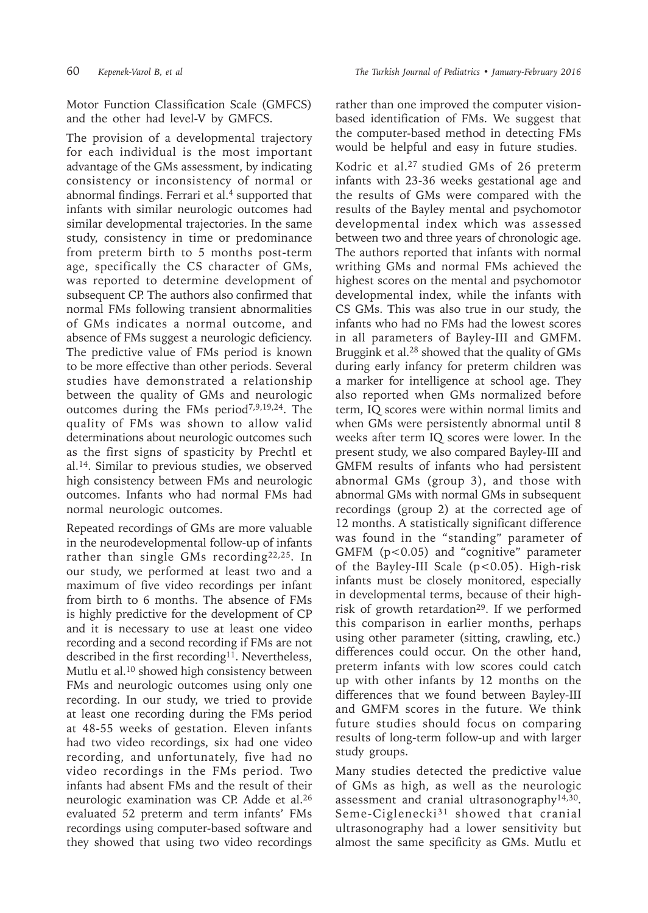Motor Function Classification Scale (GMFCS) and the other had level-V by GMFCS.

The provision of a developmental trajectory for each individual is the most important advantage of the GMs assessment, by indicating consistency or inconsistency of normal or abnormal findings. Ferrari et al.<sup>4</sup> supported that infants with similar neurologic outcomes had similar developmental trajectories. In the same study, consistency in time or predominance from preterm birth to 5 months post-term age, specifically the CS character of GMs, was reported to determine development of subsequent CP. The authors also confirmed that normal FMs following transient abnormalities of GMs indicates a normal outcome, and absence of FMs suggest a neurologic deficiency. The predictive value of FMs period is known to be more effective than other periods. Several studies have demonstrated a relationship between the quality of GMs and neurologic outcomes during the FMs period<sup>7,9,19,24</sup>. The quality of FMs was shown to allow valid determinations about neurologic outcomes such as the first signs of spasticity by Prechtl et al.14. Similar to previous studies, we observed high consistency between FMs and neurologic outcomes. Infants who had normal FMs had normal neurologic outcomes.

Repeated recordings of GMs are more valuable in the neurodevelopmental follow-up of infants rather than single GMs recording<sup>22,25</sup>. In our study, we performed at least two and a maximum of five video recordings per infant from birth to 6 months. The absence of FMs is highly predictive for the development of CP and it is necessary to use at least one video recording and a second recording if FMs are not described in the first recording<sup>11</sup>. Nevertheless, Mutlu et al.<sup>10</sup> showed high consistency between FMs and neurologic outcomes using only one recording. In our study, we tried to provide at least one recording during the FMs period at 48-55 weeks of gestation. Eleven infants had two video recordings, six had one video recording, and unfortunately, five had no video recordings in the FMs period. Two infants had absent FMs and the result of their neurologic examination was CP. Adde et al.<sup>26</sup> evaluated 52 preterm and term infants' FMs recordings using computer-based software and they showed that using two video recordings

rather than one improved the computer visionbased identification of FMs. We suggest that the computer-based method in detecting FMs would be helpful and easy in future studies.

Kodric et al.<sup>27</sup> studied GMs of 26 preterm infants with 23-36 weeks gestational age and the results of GMs were compared with the results of the Bayley mental and psychomotor developmental index which was assessed between two and three years of chronologic age. The authors reported that infants with normal writhing GMs and normal FMs achieved the highest scores on the mental and psychomotor developmental index, while the infants with CS GMs. This was also true in our study, the infants who had no FMs had the lowest scores in all parameters of Bayley-III and GMFM. Bruggink et al.<sup>28</sup> showed that the quality of GMs during early infancy for preterm children was a marker for intelligence at school age. They also reported when GMs normalized before term, IQ scores were within normal limits and when GMs were persistently abnormal until 8 weeks after term IQ scores were lower. In the present study, we also compared Bayley-III and GMFM results of infants who had persistent abnormal GMs (group 3), and those with abnormal GMs with normal GMs in subsequent recordings (group 2) at the corrected age of 12 months. A statistically significant difference was found in the "standing" parameter of GMFM (p<0.05) and "cognitive" parameter of the Bayley-III Scale (p<0.05). High-risk infants must be closely monitored, especially in developmental terms, because of their highrisk of growth retardation<sup>29</sup>. If we performed this comparison in earlier months, perhaps using other parameter (sitting, crawling, etc.) differences could occur. On the other hand, preterm infants with low scores could catch up with other infants by 12 months on the differences that we found between Bayley-III and GMFM scores in the future. We think future studies should focus on comparing results of long-term follow-up and with larger study groups.

Many studies detected the predictive value of GMs as high, as well as the neurologic assessment and cranial ultrasonography14,30. Seme-Ciglenecki<sup>31</sup> showed that cranial ultrasonography had a lower sensitivity but almost the same specificity as GMs. Mutlu et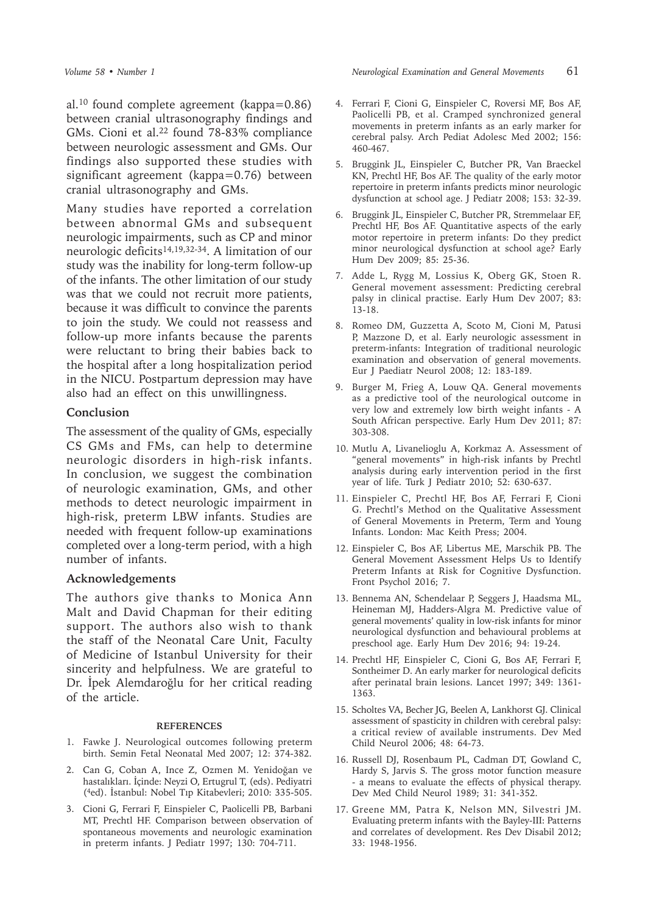al.10 found complete agreement (kappa=0.86) between cranial ultrasonography findings and GMs. Cioni et al.<sup>22</sup> found 78-83% compliance between neurologic assessment and GMs. Our findings also supported these studies with significant agreement (kappa=0.76) between cranial ultrasonography and GMs.

Many studies have reported a correlation between abnormal GMs and subsequent neurologic impairments, such as CP and minor neurologic deficits14,19,32-34. A limitation of our study was the inability for long-term follow-up of the infants. The other limitation of our study was that we could not recruit more patients, because it was difficult to convince the parents to join the study. We could not reassess and follow-up more infants because the parents were reluctant to bring their babies back to the hospital after a long hospitalization period in the NICU. Postpartum depression may have also had an effect on this unwillingness.

### **Conclusion**

The assessment of the quality of GMs, especially CS GMs and FMs, can help to determine neurologic disorders in high-risk infants. In conclusion, we suggest the combination of neurologic examination, GMs, and other methods to detect neurologic impairment in high-risk, preterm LBW infants. Studies are needed with frequent follow-up examinations completed over a long-term period, with a high number of infants.

#### **Acknowledgements**

The authors give thanks to Monica Ann Malt and David Chapman for their editing support. The authors also wish to thank the staff of the Neonatal Care Unit, Faculty of Medicine of Istanbul University for their sincerity and helpfulness. We are grateful to Dr. İpek Alemdaroğlu for her critical reading of the article.

#### **REFERENCES**

- 1. Fawke J. Neurological outcomes following preterm birth. Semin Fetal Neonatal Med 2007; 12: 374-382.
- 2. Can G, Coban A, Ince Z, Ozmen M. Yenidoğan ve hastalıkları. İçinde: Neyzi O, Ertugrul T, (eds). Pediyatri (<sup>4</sup>ed). İstanbul: Nobel Tıp Kitabevleri; 2010: 335-505.
- 3. Cioni G, Ferrari F, Einspieler C, Paolicelli PB, Barbani MT, Prechtl HF. Comparison between observation of spontaneous movements and neurologic examination in preterm infants. J Pediatr 1997; 130: 704-711.
- 4. Ferrari F, Cioni G, Einspieler C, Roversi MF, Bos AF, Paolicelli PB, et al. Cramped synchronized general movements in preterm infants as an early marker for cerebral palsy. Arch Pediat Adolesc Med 2002; 156: 460-467.
- 5. Bruggink JL, Einspieler C, Butcher PR, Van Braeckel KN, Prechtl HF, Bos AF. The quality of the early motor repertoire in preterm infants predicts minor neurologic dysfunction at school age. J Pediatr 2008; 153: 32-39.
- 6. Bruggink JL, Einspieler C, Butcher PR, Stremmelaar EF, Prechtl HF, Bos AF. Quantitative aspects of the early motor repertoire in preterm infants: Do they predict minor neurological dysfunction at school age? Early Hum Dev 2009; 85: 25-36.
- 7. Adde L, Rygg M, Lossius K, Oberg GK, Stoen R. General movement assessment: Predicting cerebral palsy in clinical practise. Early Hum Dev 2007; 83: 13-18.
- 8. Romeo DM, Guzzetta A, Scoto M, Cioni M, Patusi P, Mazzone D, et al. Early neurologic assessment in preterm-infants: Integration of traditional neurologic examination and observation of general movements. Eur J Paediatr Neurol 2008; 12: 183-189.
- 9. Burger M, Frieg A, Louw QA. General movements as a predictive tool of the neurological outcome in very low and extremely low birth weight infants - A South African perspective. Early Hum Dev 2011; 87: 303-308.
- 10. Mutlu A, Livanelioglu A, Korkmaz A. Assessment of "general movements" in high-risk infants by Prechtl analysis during early intervention period in the first year of life. Turk J Pediatr 2010; 52: 630-637.
- 11. Einspieler C, Prechtl HF, Bos AF, Ferrari F, Cioni G. Prechtl's Method on the Qualitative Assessment of General Movements in Preterm, Term and Young Infants. London: Mac Keith Press; 2004.
- 12. Einspieler C, Bos AF, Libertus ME, Marschik PB. The General Movement Assessment Helps Us to Identify Preterm Infants at Risk for Cognitive Dysfunction. Front Psychol 2016; 7.
- 13. Bennema AN, Schendelaar P, Seggers J, Haadsma ML, Heineman MJ, Hadders-Algra M. Predictive value of general movements' quality in low-risk infants for minor neurological dysfunction and behavioural problems at preschool age. Early Hum Dev 2016; 94: 19-24.
- 14. Prechtl HF, Einspieler C, Cioni G, Bos AF, Ferrari F, Sontheimer D. An early marker for neurological deficits after perinatal brain lesions. Lancet 1997; 349: 1361- 1363.
- 15. Scholtes VA, Becher JG, Beelen A, Lankhorst GJ. Clinical assessment of spasticity in children with cerebral palsy: a critical review of available instruments. Dev Med Child Neurol 2006; 48: 64-73.
- 16. Russell DJ, Rosenbaum PL, Cadman DT, Gowland C, Hardy S, Jarvis S. The gross motor function measure - a means to evaluate the effects of physical therapy. Dev Med Child Neurol 1989; 31: 341-352.
- 17. Greene MM, Patra K, Nelson MN, Silvestri JM. Evaluating preterm infants with the Bayley-III: Patterns and correlates of development. Res Dev Disabil 2012; 33: 1948-1956.